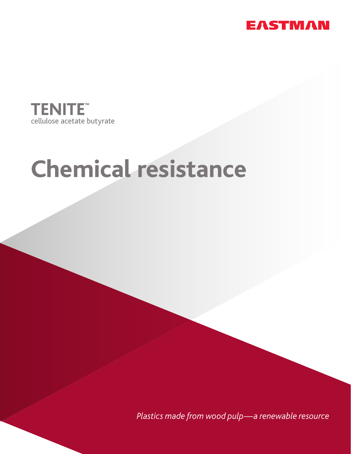



## **Chemical resistance**

*Plastics made from wood pulp—a renewable resource*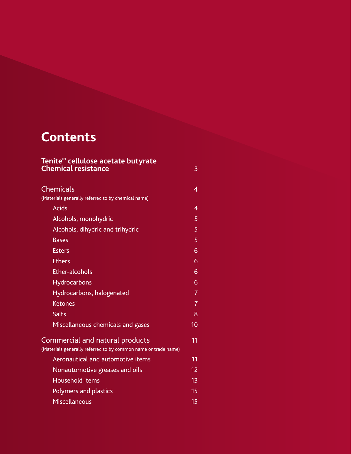### **Contents**

| Tenite <sup>™</sup> cellulose acetate butyrate<br><b>Chemical resistance</b>                      | 3  |
|---------------------------------------------------------------------------------------------------|----|
| <b>Chemicals</b>                                                                                  | 4  |
| (Materials generally referred to by chemical name)                                                |    |
| <b>Acids</b>                                                                                      | 4  |
| Alcohols, monohydric                                                                              | 5  |
| Alcohols, dihydric and trihydric                                                                  | 5  |
| <b>Bases</b>                                                                                      | 5  |
| <b>Esters</b>                                                                                     | 6  |
| <b>Ethers</b>                                                                                     | 6  |
| <b>Ether-alcohols</b>                                                                             | 6  |
| Hydrocarbons                                                                                      | 6  |
| Hydrocarbons, halogenated                                                                         | 7  |
| <b>Ketones</b>                                                                                    | 7  |
| <b>Salts</b>                                                                                      | 8  |
| Miscellaneous chemicals and gases                                                                 | 10 |
| Commercial and natural products<br>(Materials generally referred to by common name or trade name) | 11 |
| Aeronautical and automotive items                                                                 | 11 |
| Nonautomotive greases and oils                                                                    | 12 |
| Household items                                                                                   | 13 |
| <b>Polymers and plastics</b>                                                                      | 15 |
| <b>Miscellaneous</b>                                                                              | 15 |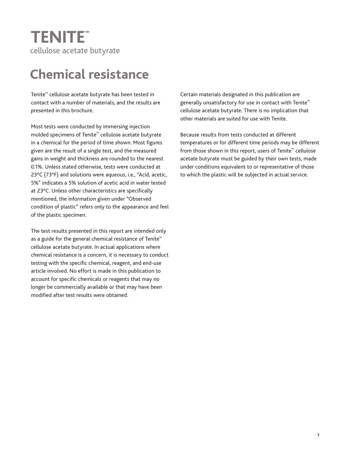# cellulose acetate butyrate

## **Chemical resistance**

Tenite™ cellulose acetate butyrate has been tested in contact with a number of materials, and the results are presented in this brochure.

Most tests were conducted by immersing injection molded specimens of Tenite™ cellulose acetate butyrate in a chemical for the period of time shown. Most figures given are the result of a single test, and the measured gains in weight and thickness are rounded to the nearest 0.1%. Unless stated otherwise, tests were conducted at 23°C (73°F) and solutions were aqueous, i.e., "Acid, acetic, 5%" indicates a 5% solution of acetic acid in water tested at 23°C. Unless other characteristics are specifically mentioned, the information given under "Observed condition of plastic" refers only to the appearance and feel of the plastic specimen. **ICONTENT EXAMPLE CONTROL CONTROL CONTROL**<br>
Cellulose acetate butlyrate contains the particular contains and the particular contains a certain metallic designated in this publication are<br>
contained with a more of metallics

The test results presented in this report are intended only as a guide for the general chemical resistance of Tenite™ cellulose acetate butyrate. In actual applications where chemical resistance is a concern, it is necessary to conduct testing with the specific chemical, reagent, and end-use article involved. No effort is made in this publication to account for specific chemicals or reagents that may no longer be commercially available or that may have been modified after test results were obtained.

Certain materials designated in this publication are generally unsatisfactory for use in contact with Tenite<sup>™</sup> cellulose acetate butyrate. There is no implication that other materials are suited for use with Tenite.

Because results from tests conducted at different temperatures or for different time periods may be different from those shown in this report, users of Tenite™ cellulose acetate butyrate must be guided by their own tests, made under conditions equivalent to or representative of those to which the plastic will be subjected in actual service.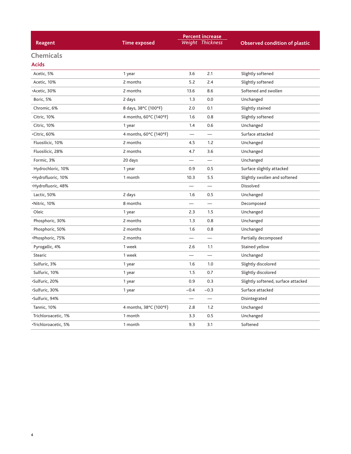| <b>Percent increase</b> |                        |        |                          |                                      |
|-------------------------|------------------------|--------|--------------------------|--------------------------------------|
| Reagent                 | <b>Time exposed</b>    |        | Weight Thickness         | <b>Observed condition of plastic</b> |
| <b>Chemicals</b>        |                        |        |                          |                                      |
| <b>Acids</b>            |                        |        |                          |                                      |
| Acetic, 5%              | 1 year                 | 3.6    | 2.1                      | Slightly softened                    |
| Acetic, 10%             | 2 months               | 5.2    | 2.4                      | Slightly softened                    |
| •Acetic, 30%            | 2 months               | 13.6   | 8.6                      | Softened and swollen                 |
| Boric, 5%               | 2 days                 | 1.3    | 0.0                      | Unchanged                            |
| Chromic, 6%             | 8 days, 38°C (100°F)   | 2.0    | 0.1                      | Slightly stained                     |
| Citric, 10%             | 4 months, 60°C (140°F) | 1.6    | 0.8                      | Slightly softened                    |
| Citric, 10%             | 1 year                 | 1.4    | 0.6                      | Unchanged                            |
| •Citric, 60%            | 4 months, 60°C (140°F) |        |                          | Surface attacked                     |
| Fluosilicic, 10%        | 2 months               | 4.5    | 1.2                      | Unchanged                            |
| Fluosilicic, 28%        | 2 months               | 4.7    | 3.6                      | Unchanged                            |
| Formic, 3%              | 20 days                |        | —                        | Unchanged                            |
| Hydrochloric, 10%       | 1 year                 | 0.9    | 0.5                      | Surface slightly attacked            |
| •Hydrofluoric, 10%      | 1 month                | 10.3   | 5.5                      | Slightly swollen and softened        |
| •Hydrofluoric, 48%      |                        |        |                          | Dissolved                            |
| Lactic, 50%             | 2 days                 | 1.6    | 0.5                      | Unchanged                            |
| ·Nitric, 10%            | 8 months               |        |                          | Decomposed                           |
| Oleic                   | 1 year                 | 2.3    | 1.5                      | Unchanged                            |
| Phosphoric, 30%         | 2 months               | 1.3    | 0.8                      | Unchanged                            |
| Phosphoric, 50%         | 2 months               | 1.6    | 0.8                      | Unchanged                            |
| •Phosphoric, 75%        | 2 months               |        |                          | Partially decomposed                 |
| Pyrogallic, 4%          | 1 week                 | 2.6    | 1.1                      | Stained yellow                       |
| Stearic                 | 1 week                 |        |                          | Unchanged                            |
| Sulfuric, 3%            | 1 year                 | 1.6    | 1.0                      | Slightly discolored                  |
| Sulfuric, 10%           | 1 year                 | 1.5    | 0.7                      | Slightly discolored                  |
| Sulfuric, 20%           | 1 year                 | 0.9    | 0.3                      | Slightly softened, surface attacked  |
| Sulfuric, 30%           | 1 year                 | $-0.4$ | $-0.3$                   | Surface attacked                     |
| Sulfuric, 94%           |                        |        | $\overline{\phantom{0}}$ | Disintegrated                        |
| Tannic, 10%             | 4 months, 38°C (100°F) | 2.8    | 1.2                      | Unchanged                            |
| Trichloroacetic, 1%     | 1 month                | 3.3    | 0.5                      | Unchanged                            |
| ∙Trichloroacetic, 5%    | 1 month                | 9.3    | 3.1                      | Softened                             |

4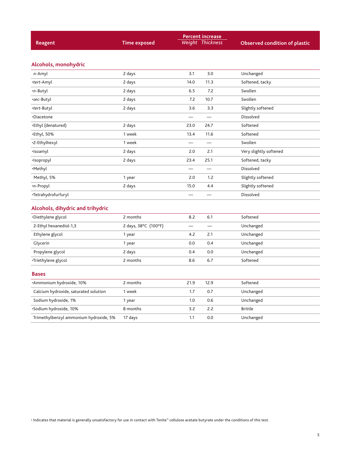|                                        |                      |                          | <b>Percent increase</b>  |                                      |  |
|----------------------------------------|----------------------|--------------------------|--------------------------|--------------------------------------|--|
| <b>Reagent</b>                         | <b>Time exposed</b>  |                          | Weight Thickness         | <b>Observed condition of plastic</b> |  |
|                                        |                      |                          |                          |                                      |  |
| Alcohols, monohydric                   |                      |                          |                          |                                      |  |
| n-Amyl                                 | 2 days               | 3.1                      | 3.0                      | Unchanged                            |  |
| ·tert-Amyl                             | 2 days               | 14.0                     | 11.3                     | Softened, tacky                      |  |
| •n-Butyl                               | 2 days               | 6.5                      | 7.2                      | Swollen                              |  |
| •sec-Butyl                             | 2 days               | 7.2                      | 10.7                     | Swollen                              |  |
| <i>•tert-</i> Butyl                    | 2 days               | 3.6                      | 3.3                      | Slightly softened                    |  |
| •Diacetone                             |                      | $\overline{\phantom{0}}$ | $\overline{\phantom{0}}$ | Dissolved                            |  |
| •Ethyl (denatured)                     | 2 days               | 23.0                     | 24.7                     | Softened                             |  |
| •Ethyl, 50%                            | 1 week               | 13.4                     | 11.6                     | Softened                             |  |
| ·2-Ethylhexyl                          | 1 week               |                          |                          | Swollen                              |  |
| ·Isoamyl                               | 2 days               | 2.0                      | 2.1                      | Very slightly softened               |  |
| ·Isopropyl                             | 2 days               | 23.4                     | 25.1                     | Softened, tacky                      |  |
| ·Methyl                                |                      |                          |                          | Dissolved                            |  |
| Methyl, 5%                             | 1 year               | 2.0                      | 1.2                      | Slightly softened                    |  |
| ·n-Propyl                              | 2 days               | 15.0                     | 4.4                      | Slightly softened                    |  |
| ·Tetrahydrofurfuryl                    |                      |                          |                          | Dissolved                            |  |
| Alcohols, dihydric and trihydric       |                      |                          |                          |                                      |  |
| ·Diethylene glycol                     | 2 months             | 8.2                      | 6.1                      | Softened                             |  |
| 2-Ethyl hexanediol-1,3                 | 2 days, 38°C (100°F) | $\overline{\phantom{0}}$ | $\overline{\phantom{0}}$ | Unchanged                            |  |
| Ethylene glycol                        | 1 year               | 4.2                      | 2.1                      | Unchanged                            |  |
| Glycerin                               | 1 year               | 0.0                      | 0.4                      | Unchanged                            |  |
| Propylene glycol                       | 2 days               | 0.4                      | 0.0                      | Unchanged                            |  |
| ·Triethylene glycol                    | 2 months             | 8.6                      | 6.7                      | Softened                             |  |
| <b>Bases</b>                           |                      |                          |                          |                                      |  |
| *Ammonium hydroxide, 10%               | 2 months             | 21.9                     | 12.9                     | Softened                             |  |
| Calcium hydroxide, saturated solution  | 1 week               | 1.7                      | 0.7                      | Unchanged                            |  |
| Sodium hydroxide, 1%                   | 1 year               | 1.0                      | 0.6                      | Unchanged                            |  |
| Sodium hydroxide, 10%                  | 8 months             | 3.2                      | 2.2                      | <b>Brittle</b>                       |  |
| Trimethylbenzyl ammonium hydroxide, 5% | 17 days              | 1.1                      | 0.0                      | Unchanged                            |  |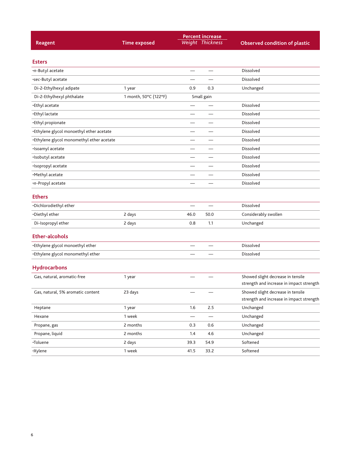| <b>Reagent</b>                            | <b>Time exposed</b>   |                          | <b>Percent increase</b><br>Weight Thickness | <b>Observed condition of plastic</b>                                          |
|-------------------------------------------|-----------------------|--------------------------|---------------------------------------------|-------------------------------------------------------------------------------|
| <b>Esters</b>                             |                       |                          |                                             |                                                                               |
| ·n-Butyl acetate                          |                       |                          | $\overline{\phantom{0}}$                    | <b>Dissolved</b>                                                              |
| •sec-Butyl acetate                        |                       |                          |                                             | <b>Dissolved</b>                                                              |
| Di-2-Ethylhexyl adipate                   | 1 year                | 0.9                      | 0.3                                         | Unchanged                                                                     |
| Di-2-Ethylhexyl phthalate                 | 1 month, 50°C (122°F) |                          | Small gain                                  |                                                                               |
| •Ethyl acetate                            |                       |                          |                                             | <b>Dissolved</b>                                                              |
| •Ethyl lactate                            |                       |                          |                                             | <b>Dissolved</b>                                                              |
| •Ethyl propionate                         |                       |                          |                                             | <b>Dissolved</b>                                                              |
| •Ethylene glycol monoethyl ether acetate  |                       |                          |                                             | <b>Dissolved</b>                                                              |
| •Ethylene glycol monomethyl ether acetate |                       | $\overline{\phantom{0}}$ |                                             | <b>Dissolved</b>                                                              |
| ·Isoamyl acetate                          |                       |                          |                                             | <b>Dissolved</b>                                                              |
| ·Isobutyl acetate                         |                       |                          |                                             | <b>Dissolved</b>                                                              |
| ·Isopropyl acetate                        |                       |                          |                                             | <b>Dissolved</b>                                                              |
| •Methyl acetate                           |                       |                          |                                             | Dissolved                                                                     |
| ·n-Propyl acetate                         |                       |                          |                                             | <b>Dissolved</b>                                                              |
| <b>Ethers</b>                             |                       |                          |                                             |                                                                               |
| ·Dichlorodiethyl ether                    |                       | $\overline{\phantom{0}}$ | $\overline{\phantom{0}}$                    | <b>Dissolved</b>                                                              |
| •Diethyl ether                            | 2 days                | 46.0                     | 50.0                                        | Considerably swollen                                                          |
| Di-Isopropyl ether                        | 2 days                | 0.8                      | 1.1                                         | Unchanged                                                                     |
| <b>Ether-alcohols</b>                     |                       |                          |                                             |                                                                               |
| •Ethylene glycol monoethyl ether          |                       |                          |                                             | <b>Dissolved</b>                                                              |
| •Ethylene glycol monomethyl ether         |                       |                          |                                             | Dissolved                                                                     |
| <b>Hydrocarbons</b>                       |                       |                          |                                             |                                                                               |
| Gas, natural, aromatic-free               | 1 year                |                          |                                             | Showed slight decrease in tensile<br>strength and increase in impact strength |
| Gas, natural, 5% aromatic content         | 23 days               |                          |                                             | Showed slight decrease in tensile<br>strength and increase in impact strength |
| Heptane                                   | 1 year                | 1.6                      | 2.5                                         | Unchanged                                                                     |
| Hexane                                    | 1 week                |                          | $\overline{\phantom{0}}$                    | Unchanged                                                                     |
| Propane, gas                              | 2 months              | 0.3                      | 0.6                                         | Unchanged                                                                     |
| Propane, liquid                           | 2 months              | 1.4                      | 4.6                                         | Unchanged                                                                     |
| ·Toluene                                  | 2 days                | 39.3                     | 54.9                                        | Softened                                                                      |
| ·Xylene                                   | 1 week                | 41.5                     | 33.2                                        | Softened                                                                      |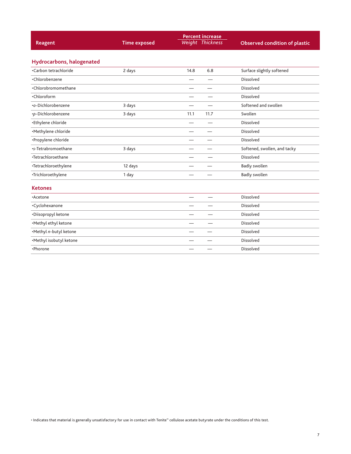| Reagent                          | <b>Time exposed</b> |                          | <b>Percent increase</b><br><b>Weight Thickness</b> | <b>Observed condition of plastic</b> |
|----------------------------------|---------------------|--------------------------|----------------------------------------------------|--------------------------------------|
| <b>Hydrocarbons, halogenated</b> |                     |                          |                                                    |                                      |
| •Carbon tetrachloride            | 2 days              | 14.8                     | 6.8                                                | Surface slightly softened            |
| •Chlorobenzene                   |                     |                          |                                                    | Dissolved                            |
| ·Chlorobromomethane              |                     |                          |                                                    | Dissolved                            |
| •Chloroform                      |                     |                          |                                                    | <b>Dissolved</b>                     |
| •o-Dichlorobenzene               | 3 days              |                          |                                                    | Softened and swollen                 |
| ·p-Dichlorobenzene               | 3 days              | 11.1                     | 11.7                                               | Swollen                              |
| •Ethylene chloride               |                     |                          |                                                    | Dissolved                            |
| ·Methylene chloride              |                     |                          |                                                    | Dissolved                            |
| •Propylene chloride              |                     |                          |                                                    | Dissolved                            |
| •s-Tetrabromoethane              | 3 days              |                          |                                                    | Softened, swollen, and tacky         |
| •Tetrachloroethane               |                     |                          |                                                    | Dissolved                            |
| ·Tetrachloroethylene             | 12 days             |                          |                                                    | <b>Badly swollen</b>                 |
| ·Trichloroethylene               | 1 day               |                          |                                                    | <b>Badly swollen</b>                 |
| <b>Ketones</b>                   |                     |                          |                                                    |                                      |
| •Acetone                         |                     | $\overline{\phantom{0}}$ |                                                    | Dissolved                            |
| ·Cyclohexanone                   |                     |                          |                                                    | Dissolved                            |
| •Diisopropyl ketone              |                     |                          |                                                    | Dissolved                            |
| ·Methyl ethyl ketone             |                     |                          |                                                    | Dissolved                            |
| ·Methyl n-butyl ketone           |                     |                          |                                                    | Dissolved                            |
| ·Methyl isobutyl ketone          |                     |                          |                                                    | <b>Dissolved</b>                     |
| •Phorone                         |                     |                          |                                                    | <b>Dissolved</b>                     |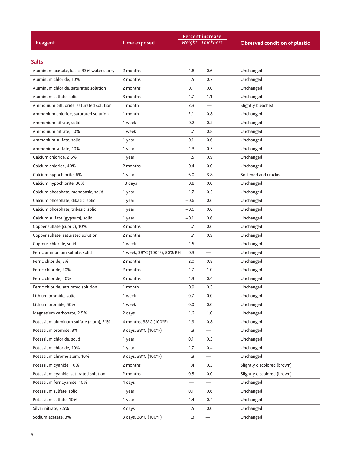| <b>Reagent</b>                            | <b>Time exposed</b>          |        | <b>Percent increase</b><br>Weight Thickness | <b>Observed condition of plastic</b> |
|-------------------------------------------|------------------------------|--------|---------------------------------------------|--------------------------------------|
| <b>Salts</b>                              |                              |        |                                             |                                      |
| Aluminum acetate, basic, 33% water slurry | 2 months                     | 1.8    | 0.6                                         | Unchanged                            |
| Aluminum chloride, 10%                    | 2 months                     | 1.5    | 0.7                                         | Unchanged                            |
| Aluminum chloride, saturated solution     | 2 months                     | 0.1    | 0.0                                         | Unchanged                            |
| Aluminum sulfate, solid                   | 3 months                     | 1.7    | 1.1                                         | Unchanged                            |
| Ammonium bifluoride, saturated solution   | 1 month                      | 2.3    | $\overline{\phantom{0}}$                    | Slightly bleached                    |
| Ammonium chloride, saturated solution     | 1 month                      | 2.1    | 0.8                                         | Unchanged                            |
| Ammonium nitrate, solid                   | 1 week                       | 0.2    | 0.2                                         | Unchanged                            |
| Ammonium nitrate, 10%                     | 1 week                       | 1.7    | 0.8                                         | Unchanged                            |
| Ammonium sulfate, solid                   | 1 year                       | 0.1    | 0.6                                         | Unchanged                            |
| Ammonium sulfate, 10%                     | 1 year                       | 1.3    | 0.5                                         | Unchanged                            |
| Calcium chloride, 2.5%                    | 1 year                       | 1.5    | 0.9                                         | Unchanged                            |
| Calcium chloride, 40%                     | 2 months                     | 0.4    | 0.0                                         | Unchanged                            |
| Calcium hypochlorite, 6%                  | 1 year                       | 6.0    | $-3.8$                                      | Softened and cracked                 |
| Calcium hypochlorite, 30%                 | 13 days                      | 0.8    | 0.0                                         | Unchanged                            |
| Calcium phosphate, monobasic, solid       | 1 year                       | 1.7    | 0.5                                         | Unchanged                            |
| Calcium phosphate, dibasic, solid         | 1 year                       | $-0.6$ | 0.6                                         | Unchanged                            |
| Calcium phosphate, tribasic, solid        | 1 year                       | $-0.6$ | 0.6                                         | Unchanged                            |
| Calcium sulfate (gypsum), solid           | 1 year                       | $-0.1$ | 0.6                                         | Unchanged                            |
| Copper sulfate (cupric), 10%              | 2 months                     | 1.7    | 0.6                                         | Unchanged                            |
| Copper sulfate, saturated solution        | 2 months                     | 1.7    | 0.9                                         | Unchanged                            |
| Cuprous chloride, solid                   | 1 week                       | 1.5    |                                             | Unchanged                            |
| Ferric ammonium sulfate, solid            | 1 week, 38°C (100°F), 80% RH | 0.3    | $\overline{\phantom{0}}$                    | Unchanged                            |
| Ferric chloride, 5%                       | 2 months                     | 2.0    | 0.8                                         | Unchanged                            |
| Ferric chloride, 20%                      | 2 months                     | 1.7    | 1.0                                         | Unchanged                            |
| Ferric chloride, 40%                      | 2 months                     | 1.3    | 0.4                                         | Unchanged                            |
| Ferric chloride, saturated solution       | 1 month                      | 0.9    | 0.3                                         | Unchanged                            |
| Lithium bromide, solid                    | 1 week                       | $-0.7$ | 0.0                                         | Unchanged                            |
| Lithium bromide, 50%                      | 1 week                       | 0.0    | 0.0                                         | Unchanged                            |
| Magnesium carbonate, 2.5%                 | 2 days                       | 1.6    | 1.0                                         | Unchanged                            |
| Potassium aluminum sulfate (alum), 21%    | 4 months, 38°C (100°F)       | 1.9    | 0.8                                         | Unchanged                            |
| Potassium bromide, 3%                     | 3 days, 38°C (100°F)         | 1.3    | $\overline{\phantom{0}}$                    | Unchanged                            |
| Potassium chloride, solid                 | 1 year                       | 0.1    | 0.5                                         | Unchanged                            |
| Potassium chloride, 10%                   | 1 year                       | 1.7    | 0.4                                         | Unchanged                            |
| Potassium chrome alum, 10%                | 3 days, 38°C (100°F)         | 1.3    | —                                           | Unchanged                            |
| Potassium cyanide, 10%                    | 2 months                     | 1.4    | 0.3                                         | Slightly discolored (brown)          |
| Potassium cyanide, saturated solution     | 2 months                     | 0.5    | 0.0                                         | Slightly discolored (brown)          |
| Potassium ferricyanide, 10%               | 4 days                       |        | $\overline{\phantom{0}}$                    | Unchanged                            |
| Potassium sulfate, solid                  | 1 year                       | 0.1    | 0.6                                         | Unchanged                            |
| Potassium sulfate, 10%                    | 1 year                       | 1.4    | 0.4                                         | Unchanged                            |
| Silver nitrate, 2.5%                      | 2 days                       | 1.5    | 0.0                                         | Unchanged                            |
| Sodium acetate, 3%                        | 3 days, 38°C (100°F)         | 1.3    |                                             | Unchanged                            |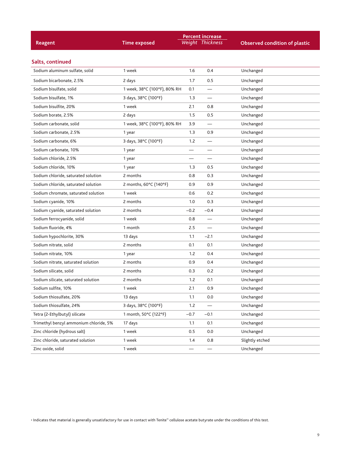|                                        |                              |                   | <b>Percent increase</b>  |                                      |  |  |
|----------------------------------------|------------------------------|-------------------|--------------------------|--------------------------------------|--|--|
| Reagent                                | <b>Time exposed</b>          |                   | <b>Weight Thickness</b>  | <b>Observed condition of plastic</b> |  |  |
|                                        |                              |                   |                          |                                      |  |  |
| Salts, continued                       |                              |                   |                          |                                      |  |  |
| Sodium aluminum sulfate, solid         | 1 week                       | 1.6               | 0.4                      | Unchanged                            |  |  |
| Sodium bicarbonate, 2.5%               | 2 days                       | 1.7               | 0.5                      | Unchanged                            |  |  |
| Sodium bisulfate, solid                | 1 week, 38°C (100°F), 80% RH | 0.1               |                          | Unchanged                            |  |  |
| Sodium bisulfate, 1%                   | 3 days, 38°C (100°F)         | 1.3               |                          | Unchanged                            |  |  |
| Sodium bisulfite, 20%                  | 1 week                       | 2.1               | 0.8                      | Unchanged                            |  |  |
| Sodium borate, 2.5%                    | 2 days                       | 1.5               | 0.5                      | Unchanged                            |  |  |
| Sodium carbonate, solid                | 1 week, 38°C (100°F), 80% RH | 3.9               |                          | Unchanged                            |  |  |
| Sodium carbonate, 2.5%                 | 1 year                       | 1.3               | 0.9                      | Unchanged                            |  |  |
| Sodium carbonate, 6%                   | 3 days, 38°C (100°F)         | 1.2               |                          | Unchanged                            |  |  |
| Sodium carbonate, 10%                  | 1 year                       | $\qquad \qquad -$ |                          | Unchanged                            |  |  |
| Sodium chloride, 2.5%                  | 1 year                       |                   |                          | Unchanged                            |  |  |
| Sodium chloride, 10%                   | 1 year                       | 1.3               | 0.5                      | Unchanged                            |  |  |
| Sodium chloride, saturated solution    | 2 months                     | 0.8               | 0.3                      | Unchanged                            |  |  |
| Sodium chloride, saturated solution    | 2 months, 60°C (140°F)       | 0.9               | 0.9                      | Unchanged                            |  |  |
| Sodium chromate, saturated solution    | 1 week                       | 0.6               | 0.2                      | Unchanged                            |  |  |
| Sodium cyanide, 10%                    | 2 months                     | 1.0               | 0.3                      | Unchanged                            |  |  |
| Sodium cyanide, saturated solution     | 2 months                     | $-0.2$            | $-0.4$                   | Unchanged                            |  |  |
| Sodium ferrocyanide, solid             | 1 week                       | 0.8               |                          | Unchanged                            |  |  |
| Sodium fluoride, 4%                    | 1 month                      | 2.5               |                          | Unchanged                            |  |  |
| Sodium hypochlorite, 30%               | 13 days                      | 1.1               | $-2.1$                   | Unchanged                            |  |  |
| Sodium nitrate, solid                  | 2 months                     | 0.1               | 0.1                      | Unchanged                            |  |  |
| Sodium nitrate, 10%                    | 1 year                       | 1.2               | 0.4                      | Unchanged                            |  |  |
| Sodium nitrate, saturated solution     | 2 months                     | 0.9               | 0.4                      | Unchanged                            |  |  |
| Sodium silicate, solid                 | 2 months                     | 0.3               | 0.2                      | Unchanged                            |  |  |
| Sodium silicate, saturated solution    | 2 months                     | 1.2               | 0.1                      | Unchanged                            |  |  |
| Sodium sulfite, 10%                    | 1 week                       | 2.1               | 0.9                      | Unchanged                            |  |  |
| Sodium thiosulfate, 20%                | 13 days                      | 1.1               | 0.0                      | Unchanged                            |  |  |
| Sodium thiosulfate, 24%                | 3 days, 38°C (100°F)         | 1.2               |                          | Unchanged                            |  |  |
| Tetra (2-Ethylbutyl) silicate          | 1 month, 50°C (122°F)        | $-0.7$            | $-0.1$                   | Unchanged                            |  |  |
| Trimethyl benzyl ammonium chloride, 5% | 17 days                      | 1.1               | 0.1                      | Unchanged                            |  |  |
| Zinc chloride (hydrous salt)           | 1 week                       | 0.5               | 0.0                      | Unchanged                            |  |  |
| Zinc chloride, saturated solution      | 1 week                       | 1.4               | 0.8                      | Slightly etched                      |  |  |
| Zinc oxide, solid                      | 1 week                       |                   | $\overline{\phantom{0}}$ | Unchanged                            |  |  |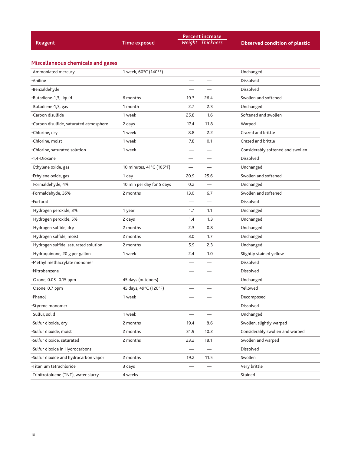| Reagent                                 | <b>Time exposed</b>       |                          | <b>Percent increase</b><br><b>Weight Thickness</b> | <b>Observed condition of plastic</b> |
|-----------------------------------------|---------------------------|--------------------------|----------------------------------------------------|--------------------------------------|
|                                         |                           |                          |                                                    |                                      |
| Miscellaneous chemicals and gases       |                           |                          |                                                    |                                      |
| Ammoniated mercury                      | 1 week, 60°C (140°F)      |                          |                                                    | Unchanged                            |
| •Aniline                                |                           |                          |                                                    | Dissolved                            |
| ·Benzaldehyde                           |                           |                          |                                                    | Dissolved                            |
| ·Butadiene-1,3, liquid                  | 6 months                  | 19.3                     | 26.4                                               | Swollen and softened                 |
| Butadiene-1,3, gas                      | 1 month                   | 2.7                      | 2.3                                                | Unchanged                            |
| ·Carbon disulfide                       | 1 week                    | 25.8                     | 1.6                                                | Softened and swollen                 |
| ·Carbon disulfide, saturated atmosphere | 2 days                    | 17.4                     | 11.8                                               | Warped                               |
| •Chlorine, dry                          | 1 week                    | 8.8                      | 2.2                                                | Crazed and brittle                   |
| •Chlorine, moist                        | 1 week                    | 7.8                      | 0.1                                                | Crazed and brittle                   |
| •Chlorine, saturated solution           | 1 week                    |                          |                                                    | Considerably softened and swollen    |
| •1,4-Dioxane                            |                           | $\overline{\phantom{0}}$ |                                                    | <b>Dissolved</b>                     |
| Ethylene oxide, gas                     | 10 minutes, 41°C (105°F)  |                          |                                                    | Unchanged                            |
| •Ethylene oxide, gas                    | 1 day                     | 20.9                     | 25.6                                               | Swollen and softened                 |
| Formaldehyde, 4%                        | 10 min per day for 5 days | 0.2                      |                                                    | Unchanged                            |
| •Formaldehyde, 35%                      | 2 months                  | 13.0                     | 6.7                                                | Swollen and softened                 |
| •Furfural                               |                           |                          |                                                    | Dissolved                            |
| Hydrogen peroxide, 3%                   | 1 year                    | 1.7                      | 1.1                                                | Unchanged                            |
| Hydrogen peroxide, 5%                   | 2 days                    | 1.4                      | 1.3                                                | Unchanged                            |
| Hydrogen sulfide, dry                   | 2 months                  | 2.3                      | 0.8                                                | Unchanged                            |
| Hydrogen sulfide, moist                 | 2 months                  | 3.0                      | 1.7                                                | Unchanged                            |
| Hydrogen sulfide, saturated solution    | 2 months                  | 5.9                      | 2.3                                                | Unchanged                            |
| Hydroquinone, 20 g per gallon           | 1 week                    | 2.4                      | 1.0                                                | Slightly stained yellow              |
| ·Methyl methacrylate monomer            |                           |                          |                                                    | <b>Dissolved</b>                     |
| •Nitrobenzene                           |                           |                          |                                                    | Dissolved                            |
| Ozone, 0.05-0.15 ppm                    | 45 days (outdoors)        |                          |                                                    | Unchanged                            |
| Ozone, 0.7 ppm                          | 45 days, 49°C (120°F)     |                          |                                                    | Yellowed                             |
| •Phenol                                 | 1 week                    |                          |                                                    | Decomposed                           |
| ·Styrene monomer                        |                           |                          |                                                    | Dissolved                            |
| Sulfur, solid                           | 1 week                    |                          | $\overline{\phantom{0}}$                           | Unchanged                            |
| ·Sulfur dioxide, dry                    | 2 months                  | 19.4                     | 8.6                                                | Swollen, slightly warped             |
| ·Sulfur dioxide, moist                  | 2 months                  | 31.9                     | 10.2                                               | Considerably swollen and warped      |
| ·Sulfur dioxide, saturated              | 2 months                  | 23.2                     | 18.1                                               | Swollen and warped                   |
| ·Sulfur dioxide in Hydrocarbons         |                           |                          | $\overline{\phantom{0}}$                           | Dissolved                            |
| ·Sulfur dioxide and hydrocarbon vapor   | 2 months                  | 19.2                     | 11.5                                               | Swollen                              |
| ·Titanium tetrachloride                 | 3 days                    | —                        | $\overline{\phantom{0}}$                           | Very brittle                         |
| Trinitrotoluene (TNT), water slurry     | 4 weeks                   |                          |                                                    | Stained                              |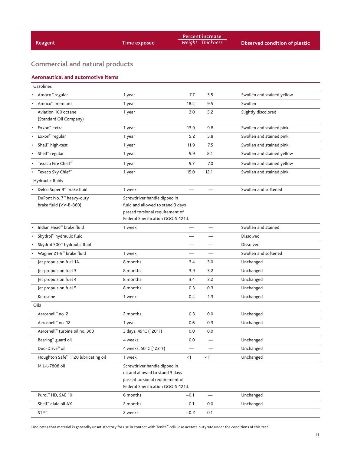| Reagent                                                        | <b>Time exposed</b>                                                                                                                       |                          | <b>Percent increase</b><br><b>Weight Thickness</b> | <b>Observed condition of plastic</b> |  |
|----------------------------------------------------------------|-------------------------------------------------------------------------------------------------------------------------------------------|--------------------------|----------------------------------------------------|--------------------------------------|--|
|                                                                |                                                                                                                                           |                          |                                                    |                                      |  |
| <b>Commercial and natural products</b>                         |                                                                                                                                           |                          |                                                    |                                      |  |
| <b>Aeronautical and automotive items</b>                       |                                                                                                                                           |                          |                                                    |                                      |  |
| Gasolines                                                      |                                                                                                                                           |                          |                                                    |                                      |  |
| Amoco <sup>™</sup> regular                                     | 1 year                                                                                                                                    | 7.7                      | 5.5                                                | Swollen and stained yellow           |  |
| Amoco <sup>™</sup> premium                                     | 1 year                                                                                                                                    | 18.4                     | 9.5                                                | Swollen                              |  |
| Aviation 100 octane<br>(Standard Oil Company)                  | 1 year                                                                                                                                    | 3.0                      | 3.2                                                | Slightly discolored                  |  |
| Exxon <sup>™</sup> extra                                       | 1 year                                                                                                                                    | 13.9                     | 9.8                                                | Swollen and stained pink             |  |
| Exxon <sup>™</sup> regular                                     | 1 year                                                                                                                                    | 5.2                      | 5.8                                                | Swollen and stained pink             |  |
| Shell <sup>™</sup> high-test                                   | 1 year                                                                                                                                    | 11.9                     | 7.5                                                | Swollen and stained pink             |  |
| Shell <sup>™</sup> regular                                     | 1 year                                                                                                                                    | 9.9                      | 8.1                                                | Swollen and stained yellow           |  |
| Texaco Fire Chief <sup>™</sup>                                 | 1 year                                                                                                                                    | 9.7                      | 7.0                                                | Swollen and stained yellow           |  |
| Texaco Sky Chief <sup>™</sup>                                  | 1 year                                                                                                                                    | 15.0                     | 12.1                                               | Swollen and stained pink             |  |
| Hydraulic fluids                                               |                                                                                                                                           |                          |                                                    |                                      |  |
| Delco Super 9 <sup>™</sup> brake fluid                         | 1 week                                                                                                                                    |                          |                                                    | Swollen and softened                 |  |
| DuPont No. 7 <sup>™</sup> heavy-duty<br>brake fluid (VV-B-860) | Screwdriver handle dipped in<br>fluid and allowed to stand 3 days<br>passed torsional requirement of<br>Federal Specification GGG-S-121d. |                          |                                                    |                                      |  |
| Indian Head <sup>™</sup> brake fluid                           | 1 week                                                                                                                                    |                          |                                                    | Swollen and stained                  |  |
| Skydrol <sup>™</sup> hydraulic fluid                           |                                                                                                                                           |                          |                                                    | Dissolved                            |  |
| Skydrol 500 <sup>™</sup> hydraulic fluid                       |                                                                                                                                           |                          |                                                    | Dissolved                            |  |
| Wagner 21-B <sup>™</sup> brake fluid                           | 1 week                                                                                                                                    |                          |                                                    | Swollen and softened                 |  |
| Jet propulsion fuel 1A                                         | 8 months                                                                                                                                  | 3.4                      | 3.0                                                | Unchanged                            |  |
| Jet propulsion fuel 3                                          | 8 months                                                                                                                                  | 3.9                      | 3.2                                                | Unchanged                            |  |
| Jet propulsion fuel 4                                          | 8 months                                                                                                                                  | 3.4                      | 3.2                                                | Unchanged                            |  |
| Jet propulsion fuel 5                                          | 8 months                                                                                                                                  | 0.3                      | 0.3                                                | Unchanged                            |  |
| Kerosene                                                       | 1 week                                                                                                                                    | 0.4                      | 1.3                                                | Unchanged                            |  |
| Oils                                                           |                                                                                                                                           |                          |                                                    |                                      |  |
| Aeroshell <sup>™</sup> no. 2                                   | 2 months                                                                                                                                  | 0.3                      | 0.0                                                | Unchanged                            |  |
| Aeroshell <sup>™</sup> no. 12                                  | 1 year                                                                                                                                    | 0.6                      | 0.3                                                | Unchanged                            |  |
| Aeroshell <sup>™</sup> turbine oil no. 300                     | 3 days, 49°C (120°F)                                                                                                                      | 0.0                      | 0.0                                                |                                      |  |
| Bearing <sup>™</sup> guard oil                                 | 4 weeks                                                                                                                                   | 0.0                      | $\overline{\phantom{0}}$                           | Unchanged                            |  |
| Duo-Drive <sup>™</sup> oil                                     | 4 weeks, 50°C (122°F)                                                                                                                     | $\overline{\phantom{0}}$ |                                                    | Unchanged                            |  |
| Houghton Safe <sup>™</sup> 1120 lubricating oil                | 1 week                                                                                                                                    | < 1                      | $<$ 1                                              | Unchanged                            |  |
| MIL-L-7808 oil                                                 | Screwdriver handle dipped in<br>oil and allowed to stand 3 days<br>passed torsional requirement of<br>Federal Specification GGG-S-121d.   |                          |                                                    |                                      |  |
| Purol™ HD, SAE 10                                              | 6 months                                                                                                                                  | $-0.1$                   |                                                    | Unchanged                            |  |
| Shell <sup>™</sup> diala oil AX                                | 2 months                                                                                                                                  | $-0.1$                   | 0.0                                                | Unchanged                            |  |
| $STP^m$                                                        | 2 weeks                                                                                                                                   | $-0.2$                   | 0.1                                                |                                      |  |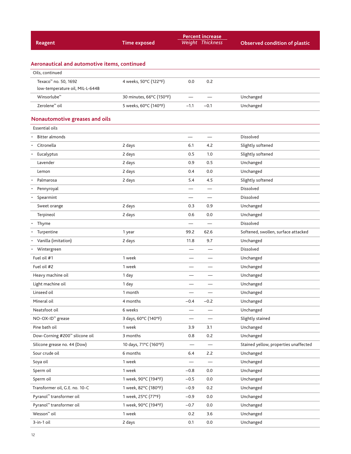| <b>Reagent</b>                                                      | <b>Time exposed</b>      |                          | <b>Percent increase</b><br>Weight Thickness | <b>Observed condition of plastic</b>  |
|---------------------------------------------------------------------|--------------------------|--------------------------|---------------------------------------------|---------------------------------------|
|                                                                     |                          |                          |                                             |                                       |
| Aeronautical and automotive items, continued                        |                          |                          |                                             |                                       |
| Oils, continued                                                     |                          |                          |                                             |                                       |
| Texaco <sup>™</sup> no. 50, 1692<br>low-temperature oil, MIL-L-644B | 4 weeks, 50°C (122°F)    | 0.0                      | 0.2                                         |                                       |
| Winsorlube <sup>™</sup>                                             | 30 minutes, 66°C (150°F) |                          |                                             | Unchanged                             |
| Zerolene <sup>™</sup> oil                                           | 5 weeks, 60°C (140°F)    | $-1.1$                   | $-0.1$                                      | Unchanged                             |
| <b>Nonautomotive greases and oils</b>                               |                          |                          |                                             |                                       |
| <b>Essential oils</b>                                               |                          |                          |                                             |                                       |
| Bitter almonds                                                      |                          | $\overline{\phantom{0}}$ |                                             | Dissolved                             |
| Citronella                                                          | 2 days                   | 6.1                      | 4.2                                         | Slightly softened                     |
| Eucalyptus                                                          | 2 days                   | 0.5                      | 1.0                                         | Slightly softened                     |
| Lavender                                                            | 2 days                   | 0.9                      | 0.5                                         | Unchanged                             |
| Lemon                                                               | 2 days                   | 0.4                      | 0.0                                         | Unchanged                             |
| Palmarosa                                                           | 2 days                   | 5.4                      | 4.5                                         | Slightly softened                     |
| Pennyroyal                                                          |                          |                          |                                             | Dissolved                             |
| Spearmint<br>$\bullet$                                              |                          |                          |                                             | Dissolved                             |
| Sweet orange                                                        | 2 days                   | 0.3                      | 0.9                                         | Unchanged                             |
| Terpineol                                                           | 2 days                   | 0.6                      | 0.0                                         | Unchanged                             |
| Thyme<br>$\bullet$                                                  |                          |                          |                                             | Dissolved                             |
| Turpentine<br>$\bullet$                                             | 1 year                   | 99.2                     | 62.6                                        | Softened, swollen, surface attacked   |
| Vanilla (imitation)                                                 | 2 days                   | 11.8                     | 9.7                                         | Unchanged                             |
| • Wintergreen                                                       |                          |                          |                                             | <b>Dissolved</b>                      |
| Fuel oil #1                                                         | 1 week                   |                          |                                             | Unchanged                             |
| Fuel oil #2                                                         | 1 week                   |                          |                                             | Unchanged                             |
| Heavy machine oil                                                   | 1 day                    |                          |                                             | Unchanged                             |
| Light machine oil                                                   | 1 day                    |                          |                                             | Unchanged                             |
| Linseed oil                                                         | 1 month                  |                          |                                             | Unchanged                             |
| Mineral oil                                                         | 4 months                 | $-0.4$                   | $-0.2$                                      | Unchanged                             |
| Neatsfoot oil                                                       | 6 weeks                  |                          |                                             | Unchanged                             |
| NO-OX-ID <sup>™</sup> grease                                        | 3 days, 60°C (140°F)     |                          | $\overbrace{\phantom{12332}}$               | Slightly stained                      |
| Pine bath oil                                                       | 1 week                   | 3.9                      | 3.1                                         | Unchanged                             |
| Dow-Corning #200 <sup>™</sup> silicone oil                          | 3 months                 | 0.8                      | 0.2                                         | Unchanged                             |
| Silicone grease no. 44 (Dow)                                        | 10 days, 71°C (160°F)    |                          |                                             | Stained yellow, properties unaffected |
| Sour crude oil                                                      | 6 months                 | 6.4                      | 2.2                                         | Unchanged                             |
| Soya oil                                                            | 1 week                   |                          |                                             | Unchanged                             |
| Sperm oil                                                           | 1 week                   | $-0.8$                   | 0.0                                         | Unchanged                             |
| Sperm oil                                                           | 1 week, 90°C (194°F)     | $-0.5$                   | 0.0                                         | Unchanged                             |
| Transformer oil, G.E. no. 10-C                                      | 1 week, 82°C (180°F)     | $-0.9$                   | 0.2                                         | Unchanged                             |
| Pyranol <sup>™</sup> transformer oil                                | 1 week, 25°C (77°F)      | $-0.9$                   | 0.0                                         | Unchanged                             |
| Pyranol <sup>™</sup> transformer oil                                | 1 week, 90°C (194°F)     | $-0.7$                   | 0.0                                         | Unchanged                             |
| Wesson <sup>™</sup> oil                                             | 1 week                   | 0.2                      | 3.6                                         | Unchanged                             |
| 3-in-1 oil                                                          | 2 days                   | 0.1                      | $0.0\,$                                     | Unchanged                             |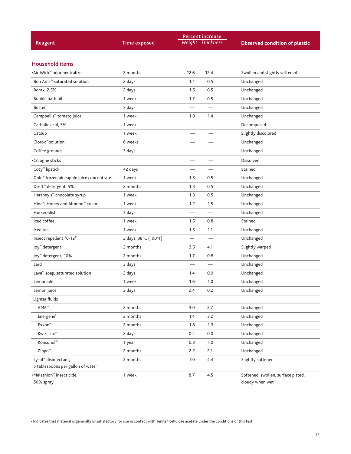| <b>Reagent</b>                                       | <b>Time exposed</b>  |                          | <b>Percent increase</b><br><b>Weight Thickness</b> | <b>Observed condition of plastic</b>                  |
|------------------------------------------------------|----------------------|--------------------------|----------------------------------------------------|-------------------------------------------------------|
| <b>Household items</b>                               |                      |                          |                                                    |                                                       |
| •Air Wick <sup>™</sup> odor neutralizer              | 2 months             | 12.6                     | 12.4                                               | Swollen and slightly softened                         |
| Bon Ami <sup>™</sup> saturated solution              | 2 days               | 1.4                      | 0.5                                                | Unchanged                                             |
| Borax, 2.5%                                          |                      | 1.5                      | 0.5                                                | Unchanged                                             |
| Bubble bath oil                                      | 2 days<br>1 week     | 1.7                      | 0.5                                                | Unchanged                                             |
| <b>Butter</b>                                        | 3 days               |                          |                                                    | Unchanged                                             |
| Campbell's <sup>™</sup> tomato juice                 | 1 week               | 1.8                      | 1.4                                                | Unchanged                                             |
| Carbolic acid, 5%                                    | 1 week               |                          |                                                    | Decomposed                                            |
|                                                      | 1 week               |                          |                                                    | Slightly discolored                                   |
| Catsup<br>$Clorox^m$ solution                        | 6 weeks              |                          |                                                    | Unchanged                                             |
| Coffee grounds                                       | 3 days               |                          |                                                    | Unchanged                                             |
|                                                      |                      |                          |                                                    |                                                       |
| ·Cologne sticks                                      |                      |                          |                                                    | Dissolved                                             |
| Coty <sup>™</sup> lipstick                           | 42 days              | $\overline{\phantom{0}}$ |                                                    | Stained                                               |
| Dole <sup>™</sup> frozen pineapple juice concentrate | 1 week               | 1.5                      | 0.5                                                | Unchanged                                             |
| Dreft <sup>™</sup> detergent, 5%                     | 2 months             | 1.3                      | 0.5                                                | Unchanged                                             |
| Hershey's <sup>™</sup> chocolate syrup               | 1 week               | 1.3                      | 0.5                                                | Unchanged                                             |
| Hind's Honey and Almond™ cream                       | 1 week               | 1.2                      | 1.5                                                | Unchanged                                             |
| Horseradish                                          | 3 days               | $\overline{\phantom{0}}$ |                                                    | Unchanged                                             |
| Iced coffee                                          | 1 week               | 1.5                      | 0.8                                                | Stained                                               |
| Iced tea                                             | 1 week               | 1.5                      | 1.1                                                | Unchanged                                             |
| Insect repellent "6-12"                              | 2 days, 38°C (100°F) | $\overline{\phantom{0}}$ |                                                    | Unchanged                                             |
| Joy <sup>™</sup> detergent                           | 2 months             | 3.5                      | 4.1                                                | Slightly warped                                       |
| Joy <sup>™</sup> detergent, 10%                      | 2 months             | 1.7                      | 0.8                                                | Unchanged                                             |
| Lard                                                 | 3 days               |                          | $\overline{\phantom{0}}$                           | Unchanged                                             |
| Lava <sup>™</sup> soap, saturated solution           | 2 days               | 1.4                      | 0.0                                                | Unchanged                                             |
| Lemonade                                             | 1 week               | 1.6                      | 1.0                                                | Unchanged                                             |
| Lemon juice                                          | 2 days               | 2.4                      | 0.2                                                | Unchanged                                             |
| Lighter fluids                                       |                      |                          |                                                    |                                                       |
| $AMR^m$                                              | 2 months             | 3.0                      | 2.7                                                | Unchanged                                             |
| Energene <sup>™</sup>                                | 2 months             | 1.4                      | 3.2                                                | Unchanged                                             |
| Exxon™                                               | 2 months             | 1.8                      | 1.3                                                | Unchanged                                             |
| Kwik-Lite <sup>™</sup>                               | 2 days               | 0.4                      | 0.0                                                | Unchanged                                             |
| Ronsonol <sup>™</sup>                                | 1 year               | 0.3                      | 1.0                                                | Unchanged                                             |
| Zippo <sup>™</sup>                                   | 2 months             | 2.2                      | 2.1                                                | Unchanged                                             |
| Lysol <sup>™</sup> disinfectant,                     | 2 months             | 7.0                      | 4.4                                                | Slightly softened                                     |
| 5 tablespoons per gallon of water                    |                      |                          |                                                    |                                                       |
| ·Malathion™ insecticide,<br>50% spray                | 1 week               | 8.7                      | 4.5                                                | Softened, swollen, surface pitted,<br>cloudy when wet |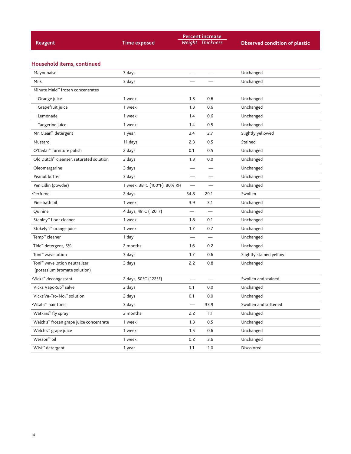|                                                     |                              |                          | <b>Percent increase</b>  |                                      |
|-----------------------------------------------------|------------------------------|--------------------------|--------------------------|--------------------------------------|
| Reagent                                             | <b>Time exposed</b>          |                          | Weight Thickness         | <b>Observed condition of plastic</b> |
|                                                     |                              |                          |                          |                                      |
| Household items, continued                          |                              |                          |                          |                                      |
| Mayonnaise                                          | 3 days                       |                          |                          | Unchanged                            |
| Milk                                                | 3 days                       |                          |                          | Unchanged                            |
| Minute Maid <sup>™</sup> frozen concentrates        |                              |                          |                          |                                      |
| Orange juice                                        | 1 week                       | 1.5                      | 0.6                      | Unchanged                            |
| Grapefruit juice                                    | 1 week                       | 1.3                      | 0.6                      | Unchanged                            |
| Lemonade                                            | 1 week                       | 1.4                      | 0.6                      | Unchanged                            |
| Tangerine juice                                     | 1 week                       | 1.4                      | 0.5                      | Unchanged                            |
| Mr. Clean <sup>™</sup> detergent                    | 1 year                       | 3.4                      | 2.7                      | Slightly yellowed                    |
| Mustard                                             | 11 days                      | 2.3                      | 0.5                      | Stained                              |
| O'Cedar <sup>™</sup> furniture polish               | 2 days                       | 0.1                      | 0.5                      | Unchanged                            |
| Old Dutch <sup>™</sup> cleanser, saturated solution | 2 days                       | 1.3                      | 0.0                      | Unchanged                            |
| Oleomargarine                                       | 3 days                       |                          |                          | Unchanged                            |
| Peanut butter                                       | 3 days                       | $\overline{\phantom{0}}$ |                          | Unchanged                            |
| Penicillin (powder)                                 | 1 week, 38°C (100°F), 80% RH | $\overline{\phantom{0}}$ |                          | Unchanged                            |
| •Perfume                                            | 2 days                       | 34.8                     | 29.1                     | Swollen                              |
| Pine bath oil                                       | 1 week                       | 3.9                      | 3.1                      | Unchanged                            |
| Quinine                                             | 4 days, 49°C (120°F)         |                          |                          | Unchanged                            |
| Stanley <sup>™</sup> floor cleaner                  | 1 week                       | 1.8                      | 0.1                      | Unchanged                            |
| Stokely's <sup>™</sup> orange juice                 | 1 week                       | 1.7                      | 0.7                      | Unchanged                            |
| Temp <sup>™</sup> cleaner                           | 1 day                        | $\overline{\phantom{0}}$ | $\overline{\phantom{0}}$ | Unchanged                            |
| Tide <sup>™</sup> detergent, 5%                     | 2 months                     | 1.6                      | 0.2                      | Unchanged                            |
| Toni <sup>™</sup> wave lotion                       | 3 days                       | 1.7                      | 0.6                      | Slightly stained yellow              |
| Toni <sup>™</sup> wave lotion neutralizer           | 3 days                       | 2.2                      | 0.8                      | Unchanged                            |
| (potassium bromate solution)                        |                              |                          |                          |                                      |
| •Vicks™ decongestant                                | 2 days, 50°C (122°F)         |                          |                          | Swollen and stained                  |
| Vicks VapoRub <sup>™</sup> salve                    | 2 days                       | 0.1                      | 0.0                      | Unchanged                            |
| Vicks Va-Tro-Nol <sup>™</sup> solution              | 2 days                       | 0.1                      | 0.0                      | Unchanged                            |
| •Vitalis <sup>™</sup> hair tonic                    | 3 days                       |                          | 33.9                     | Swollen and softened                 |
| Watkins <sup>™</sup> fly spray                      | 2 months                     | 2.2                      | 1.1                      | Unchanged                            |
| Welch's <sup>™</sup> frozen grape juice concentrate | 1 week                       | 1.3                      | 0.5                      | Unchanged                            |
| Welch's <sup>™</sup> grape juice                    | 1 week                       | 1.5                      | 0.6                      | Unchanged                            |
| Wesson <sup>™</sup> oil                             | 1 week                       | 0.2                      | 3.6                      | Unchanged                            |
| Wisk <sup>™</sup> detergent                         | 1 year                       | 1.1                      | 1.0                      | Discolored                           |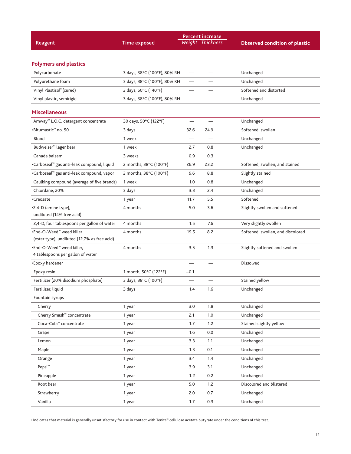| <b>Reagent</b>                                         | <b>Time exposed</b>          |                          | <b>Percent increase</b><br>Weight Thickness | <b>Observed condition of plastic</b> |
|--------------------------------------------------------|------------------------------|--------------------------|---------------------------------------------|--------------------------------------|
|                                                        |                              |                          |                                             |                                      |
|                                                        |                              |                          |                                             |                                      |
| <b>Polymers and plastics</b><br>Polycarbonate          | 3 days, 38°C (100°F), 80% RH | $\overline{\phantom{0}}$ |                                             | Unchanged                            |
| Polyurethane foam                                      | 3 days, 38°C (100°F), 80% RH |                          |                                             | Unchanged                            |
| Vinyl Plastisol <sup>™</sup> (cured)                   |                              |                          |                                             | Softened and distorted               |
|                                                        | 2 days, 60°C (140°F)         | —                        |                                             |                                      |
| Vinyl plastic, semirigid                               | 3 days, 38°C (100°F), 80% RH | $\overline{\phantom{0}}$ |                                             | Unchanged                            |
| <b>Miscellaneous</b>                                   |                              |                          |                                             |                                      |
| Amway <sup>™</sup> L.O.C. detergent concentrate        | 30 days, 50°C (122°F)        |                          |                                             | Unchanged                            |
| •Bitumastic <sup>™</sup> no. 50                        | 3 days                       | 32.6                     | 24.9                                        | Softened, swollen                    |
| <b>Blood</b>                                           | 1 week                       |                          |                                             | Unchanged                            |
| Budweiser <sup>™</sup> lager beer                      | 1 week                       | 2.7                      | 0.8                                         | Unchanged                            |
| Canada balsam                                          | 3 weeks                      | 0.9                      | 0.3                                         |                                      |
| .Carboseal <sup>™</sup> gas anti-leak compound, liquid | 2 months, 38°C (100°F)       | 26.9                     | 23.2                                        | Softened, swollen, and stained       |
| •Carboseal™ gas anti-leak compound, vapor              | 2 months, 38°C (100°F)       | 9.6                      | 8.8                                         | Slightly stained                     |
| Caulking compound (average of five brands)             | 1 week                       | 1.0                      | 0.8                                         | Unchanged                            |
| Chlordane, 20%                                         | 3 days                       | 3.3                      | 2.4                                         | Unchanged                            |
| •Creosate                                              | 1 year                       | 11.7                     | 5.5                                         | Softened                             |
| .2,4-D (amine type),<br>undiluted (14% free acid)      | 4 months                     | 5.0                      | 3.6                                         | Slightly swollen and softened        |
| 2,4-D, four tablespoons per gallon of water            | 4 months                     | 1.5                      | 7.6                                         | Very slightly swollen                |
| •End-O-Weed™ weed killer                               | 4 months                     | 19.5                     | 8.2                                         | Softened, swollen, and discolored    |
| (ester type), undiluted (12.7% as free acid)           |                              |                          |                                             |                                      |
| .End-O-Weed <sup>™</sup> weed killer,                  | 4 months                     | 3.5                      | 1.3                                         | Slightly softened and swollen        |
| 4 tablespoons per gallon of water                      |                              |                          |                                             |                                      |
| •Epoxy hardener                                        |                              |                          |                                             | Dissolved                            |
| Epoxy resin                                            | 1 month, 50°C (122°F)        | $-0.1$                   |                                             |                                      |
| Fertilizer (20% disodium phosphate)                    | 3 days, 38°C (100°F)         |                          |                                             | Stained yellow                       |
| Fertilizer, liquid                                     | 3 days                       | 1.4                      | 1.6                                         | Unchanged                            |
| Fountain syrups                                        |                              |                          |                                             |                                      |
| Cherry                                                 | 1 year                       | 3.0                      | 1.8                                         | Unchanged                            |
| Cherry Smash <sup>™</sup> concentrate                  | 1 year                       | 2.1                      | 1.0                                         | Unchanged                            |
| Coca-Cola <sup>™</sup> concentrate                     | 1 year                       | 1.7                      | 1.2                                         | Stained slightly yellow              |
| Grape                                                  | 1 year                       | 1.6                      | 0.0                                         | Unchanged                            |
| Lemon                                                  | 1 year                       | 3.3                      | 1.1                                         | Unchanged                            |
| Maple                                                  | 1 year                       | 1.3                      | 0.1                                         | Unchanged                            |
| Orange                                                 | 1 year                       | 3.4                      | $1.4$                                       | Unchanged                            |
| Pepsi <sup>™</sup>                                     | 1 year                       | 3.9                      | 3.1                                         | Unchanged                            |
| Pineapple                                              | 1 year                       | 1.2                      | 0.2                                         | Unchanged                            |
| Root beer                                              | 1 year                       | 5.0                      | 1.2                                         | Discolored and blistered             |
| Strawberry                                             | 1 year                       | 2.0                      | 0.7                                         | Unchanged                            |
| Vanilla                                                | 1 year                       | 1.7                      | 0.3                                         | Unchanged                            |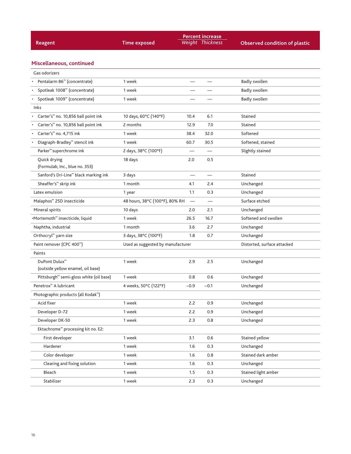|                                                        |                                   |        | <b>Percent increase</b>       |                                      |
|--------------------------------------------------------|-----------------------------------|--------|-------------------------------|--------------------------------------|
| Reagent                                                | <b>Time exposed</b>               |        | <b>Weight Thickness</b>       | <b>Observed condition of plastic</b> |
|                                                        |                                   |        |                               |                                      |
| Miscellaneous, continued                               |                                   |        |                               |                                      |
| Gas odorizers                                          |                                   |        |                               |                                      |
| Pentalarm 86 <sup>™</sup> (concentrate)                | 1 week                            |        |                               | <b>Badly swollen</b>                 |
| Spotleak 1008 <sup>™</sup> (concentrate)               | 1 week                            |        |                               | <b>Badly swollen</b>                 |
| Spotleak 1009 <sup>™</sup> (concentrate)               | 1 week                            |        |                               | <b>Badly swollen</b>                 |
| Inks                                                   |                                   |        |                               |                                      |
| Carter's <sup>™</sup> no. 10,856 ball point ink        | 10 days, 60°C (140°F)             | 10.4   | 6.1                           | Stained                              |
| Carter's <sup>™</sup> no. 10,856 ball point ink        | 2 months                          | 12.9   | 7.0                           | Stained                              |
| Carter's <sup>™</sup> no. 4,715 ink                    | 1 week                            | 38.4   | 32.0                          | Softened                             |
| Diagraph-Bradley <sup>™</sup> stencil ink<br>$\bullet$ | 1 week                            | 60.7   | 30.5                          | Softened, stained                    |
| Parker <sup>™</sup> superchrome ink                    | 2 days, 38°C (100°F)              |        |                               | Slightly stained                     |
| Quick drying                                           | 18 days                           | 2.0    | 0.5                           |                                      |
| (Formulab, Inc., blue no. 353)                         |                                   |        |                               |                                      |
| Sanford's Dri-Line <sup>™</sup> black marking ink      | 3 days                            |        |                               | Stained                              |
| Sheaffer's <sup>™</sup> skrip ink                      | 1 month                           | 4.1    | 2.4                           | Unchanged                            |
| Latex emulsion                                         | 1 year                            | 1.1    | 0.3                           | Unchanged                            |
| Malaphos <sup>™</sup> 25D insecticide                  | 48 hours, 38°C (100°F), 80% RH    |        | $\overbrace{\phantom{12333}}$ | Surface etched                       |
| Mineral spirits                                        | 10 days                           | 2.0    | 2.1                           | Unchanged                            |
| ·Mortemoth™ insecticide, liquid                        | 1 week                            | 26.5   | 16.7                          | Softened and swollen                 |
| Naphtha, industrial                                    | 1 month                           | 3.6    | 2.7                           | Unchanged                            |
| Orthocryl <sup>™</sup> yarn size                       | 3 days, 38°C (100°F)              | 1.8    | 0.7                           | Unchanged                            |
| Paint remover (CPC 400 <sup>m</sup> )                  | Used as suggested by manufacturer |        |                               | Distorted, surface attacked          |
| Paints                                                 |                                   |        |                               |                                      |
| DuPont Dulux <sup>™</sup>                              | 1 week                            | 2.9    | 2.5                           | Unchanged                            |
| (outside yellow enamel, oil base)                      |                                   |        |                               |                                      |
| Pittsburgh <sup>™</sup> semi-gloss white (oil base)    | 1 week                            | 0.8    | 0.6                           | Unchanged                            |
| Penetrox <sup>™</sup> A lubricant                      | 4 weeks, 50°C (122°F)             | $-0.9$ | $-0.1$                        | Unchanged                            |
| Photographic products (all Kodak <sup>™</sup> )        |                                   |        |                               |                                      |
| Acid fixer                                             | 1 week                            | 2.2    | 0.9                           | Unchanged                            |
| Developer D-72                                         | 1 week                            | 2.2    | 0.9                           | Unchanged                            |
| Developer DK-50                                        | 1 week                            | 2.3    | 0.8                           | Unchanged                            |
| Ektachrome <sup>™</sup> processing kit no. E2:         |                                   |        |                               |                                      |
| First developer                                        | 1 week                            | 3.1    | 0.6                           | Stained yellow                       |
| Hardener                                               | 1 week                            | 1.6    | 0.3                           | Unchanged                            |
| Color developer                                        | 1 week                            | 1.6    | 0.8                           | Stained dark amber                   |
| Clearing and fixing solution                           | 1 week                            | 1.6    | 0.3                           | Unchanged                            |
| Bleach                                                 | 1 week                            | 1.5    | 0.3                           | Stained light amber                  |
| Stabilizer                                             | 1 week                            | 2.3    | 0.3                           | Unchanged                            |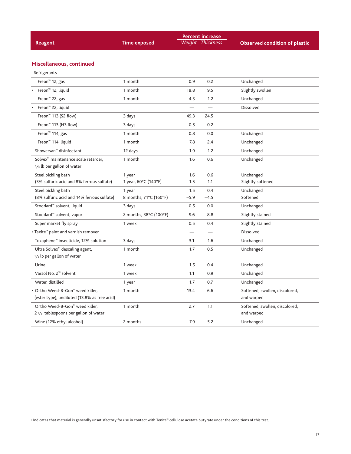| Reagent                                                                          | <b>Time exposed</b>    |        | <b>Percent increase</b><br>Weight Thickness | <b>Observed condition of plastic</b>         |
|----------------------------------------------------------------------------------|------------------------|--------|---------------------------------------------|----------------------------------------------|
| Miscellaneous, continued                                                         |                        |        |                                             |                                              |
| Refrigerants                                                                     |                        |        |                                             |                                              |
| Freon <sup>™</sup> 12, gas                                                       | 1 month                | 0.9    | 0.2                                         | Unchanged                                    |
| Freon <sup>™</sup> 12, liquid                                                    | 1 month                | 18.8   | 9.5                                         | Slightly swollen                             |
| Freon <sup>™</sup> 22, gas                                                       | 1 month                | 4.3    | 1.2                                         | Unchanged                                    |
| Freon <sup>™</sup> 22, liquid                                                    |                        |        |                                             | Dissolved                                    |
| Freon <sup><math>m</math></sup> 113 (S2 flow)                                    | 3 days                 | 49.3   | 24.5                                        |                                              |
| Freon <sup>™</sup> 113 (H3 flow)                                                 | 3 days                 | 0.5    | 0.2                                         |                                              |
| Freon <sup>™</sup> 114, gas                                                      | 1 month                | 0.8    | 0.0                                         | Unchanged                                    |
| Freon <sup>™</sup> 114, liquid                                                   | 1 month                | 7.8    | 2.4                                         | Unchanged                                    |
| Showersan <sup>™</sup> disinfectant                                              | 12 days                | 1.9    | 1.2                                         | Unchanged                                    |
| Solvex <sup>™</sup> maintenance scale retarder,<br>$1/s$ lb per gallon of water  | 1 month                | 1.6    | 0.6                                         | Unchanged                                    |
| Steel pickling bath                                                              | 1 year                 | 1.6    | 0.6                                         | Unchanged                                    |
| (3% sulfuric acid and 8% ferrous sulfate)                                        | 1 year, 60°C (140°F)   | 1.5    | 1.1                                         | Slightly softened                            |
| Steel pickling bath                                                              | 1 year                 | 1.5    | 0.4                                         | Unchanged                                    |
| (8% sulfuric acid and 14% ferrous sulfate)                                       | 8 months, 71°C (160°F) | $-5.9$ | $-4.5$                                      | Softened                                     |
| Stoddard <sup>™</sup> solvent, liquid                                            | 3 days                 | 0.5    | 0.0                                         | Unchanged                                    |
| Stoddard <sup>™</sup> solvent, vapor                                             | 2 months, 38°C (100°F) | 9.6    | 8.8                                         | Slightly stained                             |
| Super market fly spray                                                           | 1 week                 | 0.5    | 0.4                                         | Slightly stained                             |
| • Taxite <sup>™</sup> paint and varnish remover                                  |                        |        |                                             | <b>Dissolved</b>                             |
| Toxaphene <sup>™</sup> insecticide, 12% solution                                 | 3 days                 | 3.1    | 1.6                                         | Unchanged                                    |
| Ultra Solvex <sup>™</sup> descaling agent,<br>$1/3$ lb per gallon of water       | 1 month                | 1.7    | 0.5                                         | Unchanged                                    |
| Urine                                                                            | 1 week                 | 1.5    | 0.4                                         | Unchanged                                    |
| Varsol No. 2 <sup>™</sup> solvent                                                | 1 week                 | 1.1    | 0.9                                         | Unchanged                                    |
| Water, distilled                                                                 | 1 year                 | 1.7    | 0.7                                         | Unchanged                                    |
| • Ortho Weed-B-Gon™ weed killer,<br>(ester type), undiluted (13.8% as free acid) | 1 month                | 13.4   | 6.6                                         | Softened, swollen, discolored,<br>and warped |
| Ortho Weed-B-Gon™ weed killer,<br>$2\frac{1}{2}$ tablespoons per gallon of water | 1 month                | 2.7    | 1.1                                         | Softened, swollen, discolored,<br>and warped |
| Wine (12% ethyl alcohol)                                                         | 2 months               | 7.9    | 5.2                                         | Unchanged                                    |
|                                                                                  |                        |        |                                             |                                              |